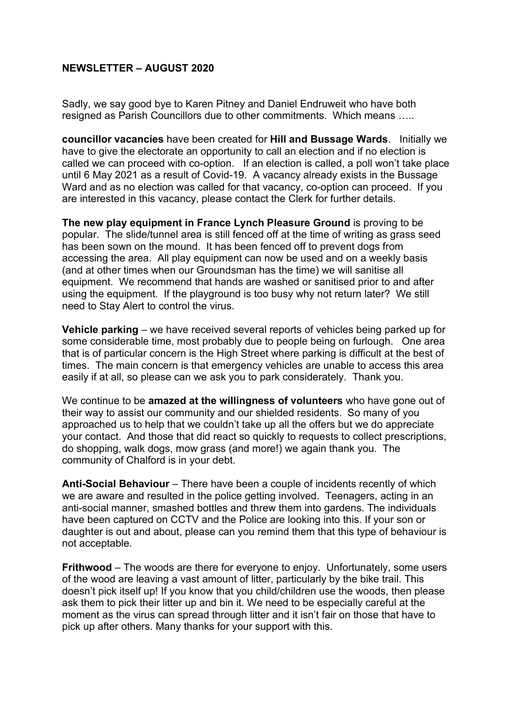## **NEWSLETTER – AUGUST 2020**

Sadly, we say good bye to Karen Pitney and Daniel Endruweit who have both resigned as Parish Councillors due to other commitments. Which means …..

**councillor vacancies** have been created for **Hill and Bussage Wards**. Initially we have to give the electorate an opportunity to call an election and if no election is called we can proceed with co-option. If an election is called, a poll won't take place until 6 May 2021 as a result of Covid-19. A vacancy already exists in the Bussage Ward and as no election was called for that vacancy, co-option can proceed. If you are interested in this vacancy, please contact the Clerk for further details.

**The new play equipment in France Lynch Pleasure Ground** is proving to be popular. The slide/tunnel area is still fenced off at the time of writing as grass seed has been sown on the mound. It has been fenced off to prevent dogs from accessing the area. All play equipment can now be used and on a weekly basis (and at other times when our Groundsman has the time) we will sanitise all equipment. We recommend that hands are washed or sanitised prior to and after using the equipment. If the playground is too busy why not return later? We still need to Stay Alert to control the virus.

**Vehicle parking** – we have received several reports of vehicles being parked up for some considerable time, most probably due to people being on furlough. One area that is of particular concern is the High Street where parking is difficult at the best of times. The main concern is that emergency vehicles are unable to access this area easily if at all, so please can we ask you to park considerately. Thank you.

We continue to be **amazed at the willingness of volunteers** who have gone out of their way to assist our community and our shielded residents. So many of you approached us to help that we couldn't take up all the offers but we do appreciate your contact. And those that did react so quickly to requests to collect prescriptions, do shopping, walk dogs, mow grass (and more!) we again thank you. The community of Chalford is in your debt.

**Anti-Social Behaviour** – There have been a couple of incidents recently of which we are aware and resulted in the police getting involved. Teenagers, acting in an anti-social manner, smashed bottles and threw them into gardens. The individuals have been captured on CCTV and the Police are looking into this. If your son or daughter is out and about, please can you remind them that this type of behaviour is not acceptable.

**Frithwood** – The woods are there for everyone to enjoy. Unfortunately, some users of the wood are leaving a vast amount of litter, particularly by the bike trail. This doesn't pick itself up! If you know that you child/children use the woods, then please ask them to pick their litter up and bin it. We need to be especially careful at the moment as the virus can spread through litter and it isn't fair on those that have to pick up after others. Many thanks for your support with this.